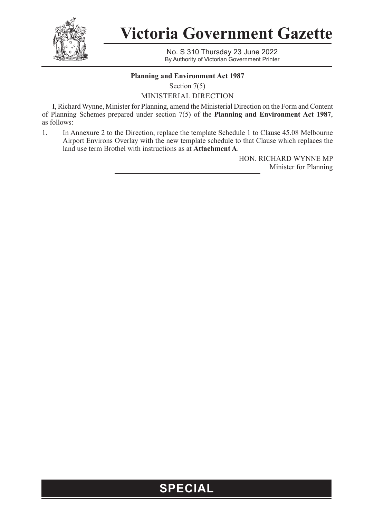

**Victoria Government Gazette**

No. S 310 Thursday 23 June 2022 By Authority of Victorian Government Printer

# **Planning and Environment Act 1987**

Section 7(5)

MINISTERIAL DIRECTION

I, Richard Wynne, Minister for Planning, amend the Ministerial Direction on the Form and Content of Planning Schemes prepared under section 7(5) of the **Planning and Environment Act 1987**, as follows:

1. In Annexure 2 to the Direction, replace the template Schedule 1 to Clause 45.08 Melbourne Airport Environs Overlay with the new template schedule to that Clause which replaces the land use term Brothel with instructions as at **Attachment A**.

> HON. RICHARD WYNNE MP Minister for Planning

# **SPECIAL**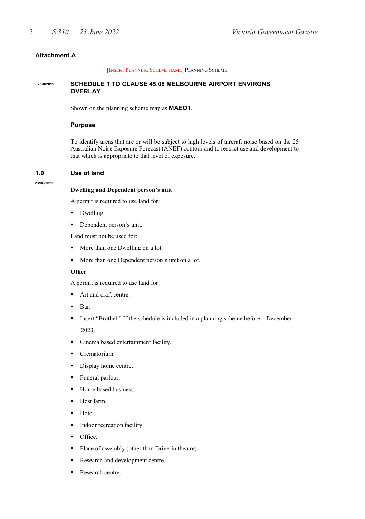# **Attachment A**

[INSERT PLANNING SCHEME NAME] PLANNING SCHEME

#### **SCHEDULE 1 TO CLAUSE 45.08 MELBOURNE AIRPORT ENVIRONS OVERLAY 07/08/2019**

Shown on the planning scheme map as **MAEO1**.

## **Purpose**

To identify areas that are or will be subject to high levels of aircraft noise based on the 25 Australian Noise Exposure Forecast (ANEF) contour and to restrict use and development to that which is appropriate to that level of exposure.

#### **1.0 Use of land**

#### **23/06/2022**

#### **Dwelling and Dependent person's unit**

A permit is required to use land for:

- Dwelling.
- Dependent person's unit.

Land must not be used for:

- More than one Dwelling on a lot.
- **More than one Dependent person's unit on a lot.**

#### **Other**

A permit is required to use land for:

- Art and craft centre.
- Bar.
- Insert "Brothel." If the schedule is included in a planning scheme before 1 December 2023.
- Cinema based entertainment facility.
- Crematorium.
- Display home centre.
- Funeral parlour.
- Home based business.
- Host farm.
- Hotel.
- Indoor recreation facility.
- Office.
- Place of assembly (other than Drive-in theatre).
- Research and development centre.
- Research centre.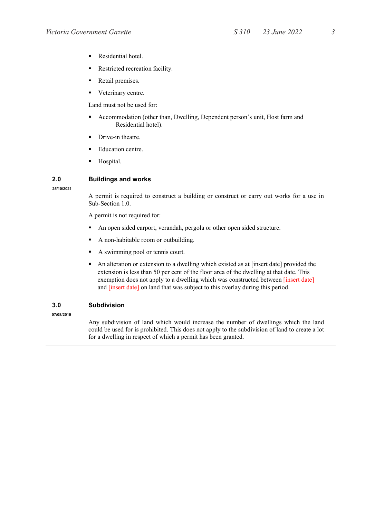- Residential hotel.
- Restricted recreation facility.
- Retail premises.
- Veterinary centre.

Land must not be used for:

- Accommodation (other than, Dwelling, Dependent person's unit, Host farm and Residential hotel).
- Drive-in theatre.
- Education centre.
- Hospital.

# **2.0 Buildings and works**

**25/10/2021**

A permit is required to construct a building or construct or carry out works for a use in Sub-Section 1.0.

A permit is not required for:

- An open sided carport, verandah, pergola or other open sided structure.
- A non-habitable room or outbuilding.
- A swimming pool or tennis court.
- An alteration or extension to a dwelling which existed as at [insert date] provided the extension is less than 50 per cent of the floor area of the dwelling at that date. This exemption does not apply to a dwelling which was constructed between [insert date] and [insert date] on land that was subject to this overlay during this period.

# **3.0 Subdivision**

**07/08/2019**

Any subdivision of land which would increase the number of dwellings which the land could be used for is prohibited. This does not apply to the subdivision of land to create a lot for a dwelling in respect of which a permit has been granted.